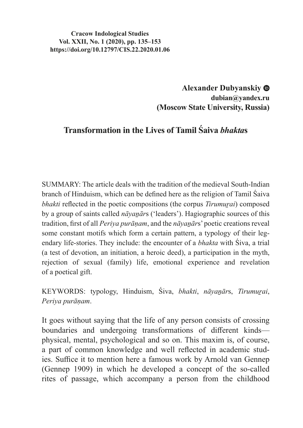#### **Cracow Indological Studies Vol. XXII, No. 1 (2020), pp. 135–153 https://doi.org/10.12797/CIS.22.2020.01.06**

**Alexander Dubyanskiy dubian@yandex.ru (Moscow State University, Russia)**

# **Transformation in the Lives of Tamil Śaiva** *bhakta***s**

SUMMARY: The article deals with the tradition of the medieval South-Indian branch of Hinduism, which can be defined here as the religion of Tamil Śaiva *bhakti* reflected in the poetic compositions (the corpus *Tirumurai*) composed by a group of saints called *nāyanār*s ('leaders'). Hagiographic sources of this tradition, first of all *Periya purāṇam*, and the *nāyaṉār*s' poetic creations reveal some constant motifs which form a certain pattern, a typology of their legendary life-stories. They include: the encounter of a *bhakta* with Śiva, a trial (a test of devotion, an initiation, a heroic deed), a participation in the myth, rejection of sexual (family) life, emotional experience and revelation of a poetical gift.

KEYWORDS: typology, Hinduism, Śiva, *bhakti*, *nāyaṉār*s, *Tirumuṟai*, *Periya purāṇam*.

It goes without saying that the life of any person consists of crossing boundaries and undergoing transformations of different kinds physical, mental, psychological and so on. This maxim is, of course, a part of common knowledge and well reflected in academic studies. Suffice it to mention here a famous work by Arnold van Gennep (Gennep 1909) in which he developed a concept of the so-called rites of passage, which accompany a person from the childhood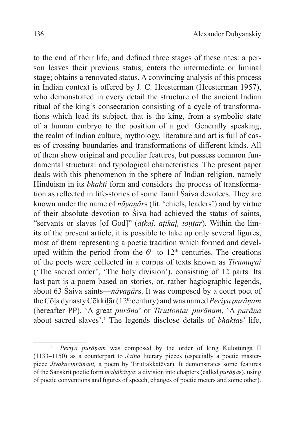to the end of their life, and defined three stages of these rites: a person leaves their previous status; enters the intermediate or liminal stage; obtains a renovated status. A convincing analysis of this process in Indian context is offered by J. C. Heesterman (Heesterman 1957), who demonstrated in every detail the structure of the ancient Indian ritual of the king's consecration consisting of a cycle of transformations which lead its subject, that is the king, from a symbolic state of a human embryo to the position of a god. Generally speaking, the realm of Indian culture, mythology, literature and art is full of cases of crossing boundaries and transformations of different kinds. All of them show original and peculiar features, but possess common fundamental structural and typological characteristics. The present paper deals with this phenomenon in the sphere of Indian religion, namely Hinduism in its *bhakti* form and considers thе process of transformation as reflected in life-stories of some Tamil Śaiva devotees. They are known under the name of *nāyaṉār*s (lit. 'chiefs, leaders') and by virtue of their absolute devotion to Śiva had achieved the status of saints, "servants or slaves [of God]" (*āṭkaḷ, aṭikaḷ, toṇṭar*). Within the limits of the present article, it is possible to take up only several figures, most of them representing a poetic tradition which formed and developed within the period from the  $6<sup>th</sup>$  to  $12<sup>th</sup>$  centuries. The creations of the poets were collected in a corpus of texts known as *Tirumuṟai* ('The sacred order', 'The holy division'), consisting of 12 parts. Its last part is a poem based on stories, or, rather hagiographic legends, about 63 Śaiva saints—*nāyaṉār*s. It was composed by a court poet of theCōḻa dynasty Cēkkiḻār (12th century) and was named *Periya purāṇam* (hereafter PP), 'A great *purāṇa*' or *Tiruttoṇṭar purāṇam*, 'A *purāṇa*  about sacred slaves'.1 The legends disclose details of *bhakta*s' life,

<sup>&</sup>lt;sup>1</sup> *Periya purāṇam* was composed by the order of king Kulottunga II (1133–1150) as a counterpart to *Jaina* literary pieces (especially a poetic masterpiece *Jīvakacintāmaṇi,* a poem by Tiruttakkatēvar). It demonstrates some features of the Sanskrit poetic form *mahākāvya*: a division into chapters (called *purāṇa*s), using of poetic conventions and figures of speech, changes of poetic meters and some other).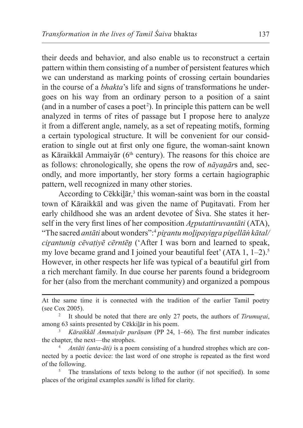their deeds and behavior, and also enable us to reconstruct a certain pattern within them consisting of a number of persistent features which we can understand as marking points of crossing certain boundaries in the course of a *bhakta*'s life and signs of transformations he undergoes on his way from an ordinary person to a position of a saint (and in a number of cases a poet<sup>2</sup>). In principle this pattern can be well analyzed in terms of rites of passage but I propose here to analyze it from a different angle, namely, as a set of repeating motifs, forming a certain typological structure. It will be convenient for our consideration to single out at first only one figure, the woman-saint known as Kāraikkāl Ammaiyār ( $6<sup>th</sup>$  century). The reasons for this choice are as follows: chronologically, she opens the row of *nāyanār*s and, secondly, and more importantly, her story forms a certain hagiographic pattern, well recognized in many other stories.

According to Cēkkilār,<sup>3</sup> this woman-saint was born in the coastal town of Kāraikkāl and was given the name of Puṉitavati. From her early childhood she was an ardent devotee of Śiva. She states it herself in the very first lines of her composition *Arputattiruvantāti* (ATA), "The sacred *antāti* about wonders":4 *piṟantu moḻipayiṉṟa piṉellāṅ kātal/ cirantunin cēvatiyē cērntēn* ('After I was born and learned to speak, my love became grand and I joined your beautiful feet'  $(ATA 1, 1-2).$ <sup>5</sup> However, in other respects her life was typical of a beautiful girl from a rich merchant family. In due course her parents found a bridegroom for her (also from the merchant community) and organized a pompous

At the same time it is connected with the tradition of the earlier Tamil poetry (see Cox 2005).

<sup>2</sup> It should be noted that there are only 27 poets, the authors of *Tirumuṟai*, among 63 saints presented by Cēkkiḻār in his poem.

<sup>3</sup> *Kāraikkāl Ammaiyār purāṇam* (PP 24, 1–66). The first number indicates the chapter, the next—the strophes.

<sup>4</sup> *Antāti (anta-āti)* is a poem consisting of a hundred strophes which are connected by a poetic device: the last word of one strophe is repeated as the first word of the following.

The translations of texts belong to the author (if not specified). In some places of the original examples *sandhi* is lifted for clarity.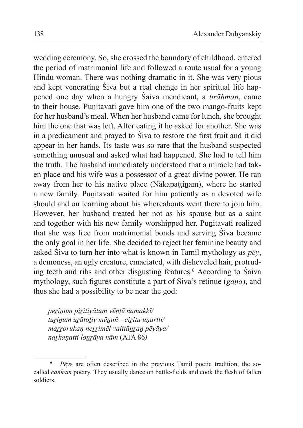wedding ceremony. So, she crossed the boundary of childhood, entered the period of matrimonial life and followed a route usual for a young Hindu woman. There was nothing dramatic in it. She was very pious and kept venerating Śiva but a real change in her spiritual life happened one day when a hungry Śaiva mendicant, a *brāhman*, came to their house. Punitavati gave him one of the two mango-fruits kept for her husband's meal. When her husband came for lunch, she brought him the one that was left. After eating it he asked for another. She was in a predicament and prayed to Śiva to restore the first fruit and it did appear in her hands. Its taste was so rare that the husband suspected something unusual and asked what had happened. She had to tell him the truth. The husband immediately understood that a miracle had taken place and his wife was a possessor of a great divine power. He ran away from her to his native place (Nākapattinam), where he started a new family. Punitavati waited for him patiently as a devoted wife should and on learning about his whereabouts went there to join him. However, her husband treated her not as his spouse but as a saint and together with his new family worshipped her. Punitavati realized that she was free from matrimonial bonds and serving Śiva became the only goal in her life. She decided to reject her feminine beauty and asked Śiva to turn her into what is known in Tamil mythology as *pēy*, a demoness, an ugly creature, emaciated, with disheveled hair, protruding teeth and ribs and other disgusting features.6 According to Śaiva mythology, such figures constitute a part of Śiva's retinue (*gaṇa*), and thus she had a possibility to be near the god:

*peṟiṉum piṟitiyātum vēṇṭē namakkī/ tuṟiṉum uṟātoḻiy mēṉuñ—ciṟitu uṇartti/ maṟṟorukaṇ neṟṟimēl vaittāṉṟaṉ pēyāya/ naṟkaṇatti loṉṟāya nām* (ATA 86*)*

<sup>6</sup> *Pēy*s are often described in the previous Tamil poetic tradition, the socalled *caṅkam* poetry. They usually dance on battle-fields and cook the flesh of fallen soldiers.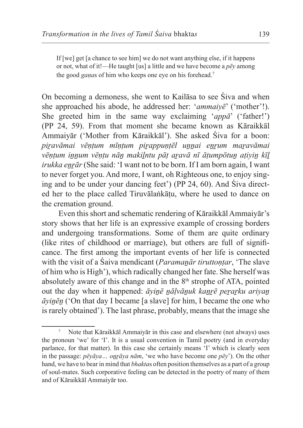If [we] get [a chance to see him] we do not want anything else, if it happens or not, what of it!—He taught [us] a little and we have become a *pēy* among the good *gaṇa*s of him who keeps one eye on his forehead.7

On becoming a demoness, she went to Kailāsa to see Śiva and when she approached his abode, he addressed her: '*ammaiyē*' ('mother'!). She greeted him in the same way exclaiming '*appā*' ('father!') (PP 24, 59). From that moment she became known as Kāraikkāl Ammaiyār ('Mother from Kāraikkāl'). She asked Śiva for a boon: *piṟavāmai vēṇṭum mīṇṭum piṟappuṇṭēl uṉṉai eṉṟum maṟavāmai vēṇṭum iṉṉum vēṇṭu nāṉ makiḻntu pāṭ aṟavā nī āṭumpōtuṉ aṭiyiṉ kīḻ irukka enrār* (She said: 'I want not to be born. If I am born again, I want to never forget you. And more, I want, oh Righteous one, to enjoy singing and to be under your dancing feet') (PP 24, 60). And Śiva directed her to the place called Tiruvālaṅkāṭu, where he used to dance on the cremation ground.

Even this short and schematic rendering of Kāraikkāl Ammaiyār's story shows that her life is an expressive example of crossing borders and undergoing transformations. Some of them are quite ordinary (like rites of childhood or marriage), but others are full of significance. The first among the important events of her life is connected with the visit of a Śaiva mendicant (*Paramanār tiruttontar*, 'The slave of him who is High'), which radically changed her fate. She herself was absolutely aware of this change and in the  $8<sup>th</sup>$  strophe of ATA, pointed out the day when it happened: *āyiṉē ṉāḷvāṉuk kaṉṟē peṟaṟku ariyaṉ āyiṉēṉ* ('On that day I became [a slave] for him, I became the one who is rarely obtained'). The last phrase, probably, means that the image she

<sup>7</sup> Note that Kāraikkāl Ammaiyār in this case and elsewhere (not always) uses the pronoun 'we' for 'I'. It is a usual convention in Tamil poetry (and in everyday parlance, for that matter). In this case she certainly means 'I' which is clearly seen in the passage: *pēyāya… oṉṟāya nām*, 'we who have become one *pēy*'). On the other hand, we have to bear in mind that *bhakta*s often position themselves as a part of a group of soul-mates. Such corporative feeling can be detected in the poetry of many of them and of Kāraikkāl Ammaiyār too.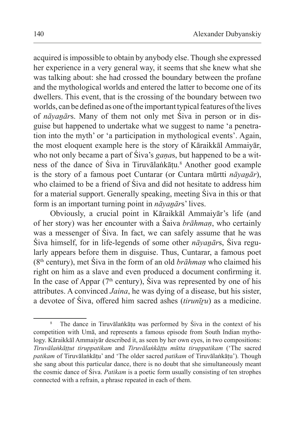acquired isimpossible to obtain by anybody else. Though she expressed her experience in a very general way, it seems that she knew what she was talking about: she had crossed the boundary between the profane and the mythological worlds and entered the latter to become one of its dwellers. This event, that is the crossing of the boundary between two worlds, can be defined as one of the important typical features of the lives of *nāyaṉār*s. Many of them not only met Śiva in person or in disguise but happened to undertake what we suggest to name 'a penetration into the myth' or 'a participation in mythological events'. Again, the most eloquent example here is the story of Kāraikkāl Ammaiyār, who not only became a part of Śiva's *gaṇa*s, but happened to be a witness of the dance of Śiva in Tiruvālaṅkāṭu.<sup>8</sup> Another good example is the story of a famous poet Cuntarar (or Cuntara mūrtti *nāyanār*), who claimed to be a friend of Śiva and did not hesitate to address him for a material support. Generally speaking, meeting Śiva in this or that form is an important turning point in *nāyaṉār*s' lives.

Obviously, a crucial point in Kāraikkāl Ammaiyār's life (and of her story) was her encounter with a Śaiva *brāhmaṇ*, who certainly was a messenger of Śiva. In fact, we can safely assume that he was Śiva himself, for in life-legends of some other *nāyaṉār*s, Śiva regularly appears before them in disguise. Thus, Cuntarar, a famous poet (8th century), met Śiva in the form of an old *brāhmaṇ* who claimed his right on him as a slave and even produced a document confirming it. In the case of Appar ( $7<sup>th</sup>$  century), Siva was represented by one of his attributes. A convinced *Jaina*, he was dying of a disease, but his sister, a devotee of Śiva, offered him sacred ashes (*tirunīṟu*) as a medicine.

<sup>&</sup>lt;sup>8</sup> The dance in Tiruvālaṅkāṭu was performed by Śiva in the context of his competition with Umā, and represents a famous episode from South Indian mythology. Kāraikkāl Ammaiyār described it, as seen by her own eyes, in two compositions: *Tiruvālaṅkāṭṭut tiruppatikam* and *Tiruvālaṅkāṭṭu mūtta tiruppatikam* ('The sacred *patikam* of Tiruvālaṅkāṭu' and 'The older sacred *patikam* of Tiruvālaṅkāṭu'). Though she sang about this particular dance, there is no doubt that she simultaneously meant the cosmic dance of Śiva. *Patikam* is a poetic form usually consisting of ten strophes connected with a refrain, a phrase repeated in each of them.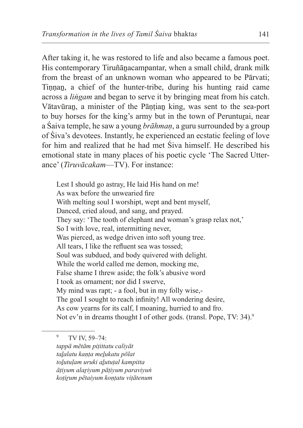After taking it, he was restored to life and also became a famous poet. His contemporary Tiruñānacampantar, when a small child, drank milk from the breast of an unknown woman who appeared to be Pārvati; Tinnan, a chief of the hunter-tribe, during his hunting raid came across a *liṅgam* and began to serve it by bringing meat from his catch. Vātavūran, a minister of the Pāntian king, was sent to the sea-port to buy horses for the king's army but in the town of Perunturai, near a Śaiva temple, he saw a young *brāhmaṇ*, a guru surrounded by a group of Śiva's devotees. Instantly, he experienced an ecstatic feeling of love for him and realized that he had met Śiva himself. He described his emotional state in many places of his poetic cycle 'The Sacred Utterance' (*Tiruvācakam*—TV). For instance:

Lest I should go astray, He laid His hand on me! As wax before the unwearied fire With melting soul I worshipt, wept and bent myself, Danced, cried aloud, and sang, and prayed. They say: 'The tooth of elephant and woman's grasp relax not,' So I with love, real, intermitting never, Was pierced, as wedge driven into soft young tree. All tears, I like the refluent sea was tossed; Soul was subdued, and body quivered with delight. While the world called me demon, mocking me, False shame I threw aside; the folk's abusive word I took as ornament; nor did I swerve, My mind was rapt; - a fool, but in my folly wise,- The goal I sought to reach infinity! All wondering desire, As cow yearns for its calf, I moaning, hurried to and fro. Not ev'n in dreams thought I of other gods. (transl. Pope, TV: 34).<sup>9</sup>

<sup>9</sup> TV IV, 59–74: *tappā mētām piṭittatu caliyāt taḻalatu kaṇṭa meḻukatu pōlat toḻutuḷam uruki aḻutuṭal kampitta āṭiyum alaṟiyum pāṭiyum paraviyuṅ koṭiṟum pētaiyum koṇṭatu viṭātenum*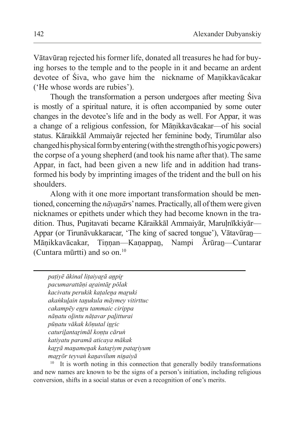Vātavūraṉ rejected his former life, donated all treasures he had for buying horses to the temple and to the people in it and became an ardent devotee of Śiva, who gave him the nickname of Maṇikkavācakar ('He whose words are rubies').

Though the transformation a person undergoes after meeting Śiva is mostly of a spiritual nature, it is often accompanied by some outer changes in the devotee's life and in the body as well. For Appar, it was a change of a religious confession, for Māṇikkavācakar—of his social status. Kāraikkāl Ammaiyār rejected her feminine body, Tirumūlar also changed his physical form byentering (with thestrength ofhis yogic powers) the corpse of a young shepherd (and took his name after that). The same Appar, in fact, had been given a new life and in addition had transformed his body by imprinting images of the trident and the bull on his shoulders.

Along with it one more important transformation should be mentioned, concerning the *nāyaṇār*s' names. Practically, all of them were given nicknames or epithets under which they had become known in the tradition. Thus, Punitavati became Kāraikkāl Ammaiyār, Marulnīkkiyār— Appar (or Tirunāvukkaracar, 'The king of sacred tongue'), Vātavūran—<br>Mānikkavācakar, Tinnan—Kanappan, Nampi Ārūran—Cuntarar Mānikkavācakar, Tinnan—Kanappan, Nampi (Cuntara mūrtti) and so on.10

*paṭiyē ākinal liṭaiyaṟā aṉpiṟ pacumarattāṇi aṟaintāṟ pōlak kacivatu perukik kaṭaleṉa maṟuki akaṅkuḻain taṉukula māymey vitirttuc cakampēy eṉṟu tammaic cirippa nāṇatu oḻintu nāṭavar paḻitturai pūṇatu vākak kōṇutal iṉṟic caturiḻantaṟimāl koṇṭu cāruṅ katiyatu paramā aticaya mākak kaṟṟā maṉameṉak kataṟiym pataṟiyum maṟṟōr teyvaṅ kaṉavilum niṉaiyā*

It is worth noting in this connection that generally bodily transformations and new names are known to be the signs of a person's initiation, including religious conversion, shifts in a social status or even a recognition of one's merits.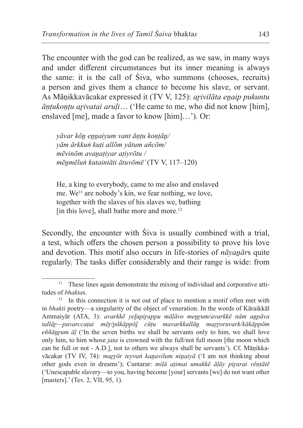The encounter with the god can be realized, as we saw, in many ways and under different circumstances but its inner meaning is always the same: it is the call of Śiva, who summons (chooses, recruits) a person and gives them a chance to become his slave, or servant. As Māṇikkavācakar expressed it (TV V, 125): *aṟivilāta eṉaip pukuntu āṇṭukoṇṭu aṟivatai aruḷi*… ('He came to me, who did not know [him], enslaved [me], made a favor to know [him]…'). Or:

*yāvar kōṉ eṉṉaiyum vant āṇṭu koṇṭāṉ/ yām ārkkuṅ kuṭi allōm yātum añcōm/ mēvinōm avaṉaṭiyar aṭiyrōtu / mēṉmēluṅ kutaintāti ātuvōmē'* (TV V, 117–120)

He, a king to everybody, came to me also and enslaved me. We<sup>11</sup> are nobody's kin, we fear nothing, we love, together with the slaves of his slaves we, bathing [in this love], shall bathe more and more.<sup>12</sup>

Secondly, the encounter with Śiva is usually combined with a trial, a test, which offers the chosen person a possibility to prove his love and devotion. This motif also occurs in life-stories of *nāyanār*s quite regularly. The tasks differ considerably and their range is wide: from

<sup>&</sup>lt;sup>11</sup> These lines again demonstrate the mixing of individual and corporative attitudes of *bhakta*s.

 $12$  In this connection it is not out of place to mention a motif often met with in *bhakti* poetry—a singularity of the object of veneration. In the words of Kāraikkāl Ammaiyār (ATA, 3): *avarkkē yeḻupiṟappu māḷāvo meṉṟum/avarkkē nām aṉpāva tallāṟ—pavarccaṭai mēṟ/pākāppōḻ cūṭu mavarkkallāṉ maṟṟoruvark/kākāppōm*  eññānrum āl <sup>('In the seven births we shall be servants only to him, we shall love</sup> only him, to him whose *jata* is crowned with the full/not full moon [the moon which can be full or not - A.D.], not to others we always shall be servants'). Cf. Māṇikkavācakar (TV IV, 74): *maṟṟōr teyvaṅ kaṉavilum niṉaiyā* ('I am not thinking about other gods even in dreams'); Cuntarar: *miḷā aṭimai umakkē āḷāy piṟarai vēṇṭātē*  ('Unescapable slavery—to you, having become [your] servants [we] do not want other [masters].' (Tev. 2, VII, 95, 1).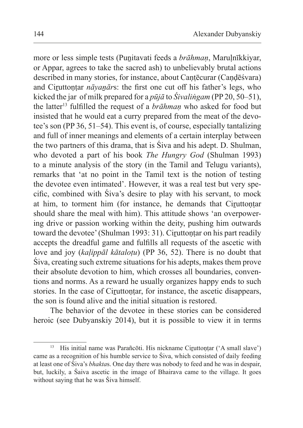more or less simple tests (Puṉitavati feeds a *brāhmaṇ*, Maruḷnīkkiyar, or Appar, agrees to take the sacred ash) to unbelievably brutal actions described in many stories, for instance, about Cantēcurar (Candēśvara) and Ciruttontar *nāyanārs*: the first one cut off his father's legs, who kicked the jar of milk prepared for a *pūjā* to *Śivaliṅgam* (PP 20, 50–51), the latter13 fulfilled the request of a *brāhmaṇ* who asked for food but insisted that he would eat a curry prepared from the meat of the devotee's son (PP 36, 51–54). This event is, of course, especially tantalizing and full of inner meanings and elements of a certain interplay between the two partners of this drama, that is Śiva and his adept. D. Shulman, who devoted a part of his book *The Hungry God* (Shulman 1993) to a minute analysis of the story (in the Tamil and Telugu variants), remarks that 'at no point in the Tamil text is the notion of testing the devotee even intimated'. However, it was a real test but very specific, combined with Śiva's desire to play with his servant, to mock at him, to torment him (for instance, he demands that Ciṟuttoṇṭar should share the meal with him). This attitude shows 'an overpowering drive or passion working within the deity, pushing him outwards toward the devotee' (Shulman 1993: 31). Ciruttontar on his part readily accepts the dreadful game and fulfills all requests of the ascetic with love and joy (*kaḷippāl kātaloṭu*) (PP 36, 52). There is no doubt that Śiva, creating such extreme situations for his adepts, makes them prove their absolute devotion to him, which crosses all boundaries, conventions and norms. As a reward he usually organizes happy ends to such stories. In the case of Ciruttontar, for instance, the ascetic disappears, the son is found alive and the initial situation is restored.

The behavior of the devotee in these stories can be considered heroic (see Dubyanskiy 2014), but it is possible to view it in terms

<sup>&</sup>lt;sup>13</sup> His initial name was Parañcōti. His nickname Ciruttoṇṭar ('A small slave') came as a recognition of his humble service to Śiva, which consisted of daily feeding at least one of Śiva's *bhakta*s. One day there was nobody to feed and he was in despair, but, luckily, a Śaiva ascetic in the image of Bhairava came to the village. It goes without saying that he was Siva himself.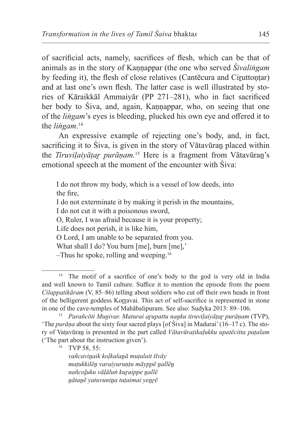of sacrificial acts, namely, sacrifices of flesh, which can be that of animals as in the story of Kannappar (the one who served *Śivalingam* by feeding it), the flesh of close relatives (Cantēcura and Ciruttontar) and at last one's own flesh. The latter case is well illustrated by stories of Kāraikkāl Ammaiyār (PP 271–281), who in fact sacrificed her body to Śiva, and, again, Kaṇṇappar, who, on seeing that one of the *liṅgam*'s eyes is bleeding, plucked his own eye and offered it to the *liṅgam*. 14

An expressive example of rejecting one's body, and, in fact, sacrificing it to Śiva, is given in the story of Vātavūran placed within the *Tiruviḷaiyāṭaṟ purāṇam.*<sup>15</sup> Here is a fragment from Vātavūraṉ's emotional speech at the moment of the encounter with Śiva:

I do not throw my body, which is a vessel of low deeds, into the fire, I do not exterminate it by making it perish in the mountains, I do not cut it with a poisonous sword, O, Ruler, I was afraid because it is your property; Life does not perish, it is like him, O Lord, I am unable to be separated from you. What shall I do? You burn [me], burn [me],'  $-$ Thus he spoke, rolling and weeping.<sup>16</sup>

*vañcaviṉaik koḷkalaṉā muṭalait tīvāy maṭukkilēṉ varaiyuruṇṭu māyppē ṉallēṉ nañcoḻuku vāḷāluṅ kuṟaippe ṉallē ṉātaṉē yatuvuniṉa tuṭaimai yeṉṟē*

<sup>&</sup>lt;sup>14</sup> The motif of a sacrifice of one's body to the god is very old in India and well known to Tamil culture. Suffice it to mention the episode from the poem *Cilappatikāram* (V, 85–86) telling about soldiers who cut off their own heads in front of the belligerent goddess Koṟṟavai. This act of self-sacrifice is represented in stone in one of the cave-temples of Mahābalipuram. See also: Sudyka 2013: 89–106.

<sup>15</sup> *Parañcōti Muṉivar. Maturai aṟupattu naṉku tiruviḷaiyāṭaṟ purāṇam* (TVP), 'The *purāṇa* about the sixty four sacred plays [of Śiva] in Madurai'(16–17 c). The story of Vaṭavūraṉ is presented in the part called *Vātavūraṭikaḷukku upatēcitta paṭalam*  ('The part about the instruction given').<br><sup>16</sup> TVP 58, 55: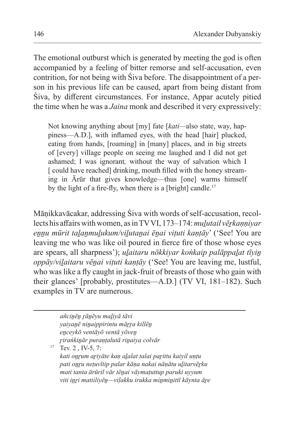The emotional outburst which is generated by meeting the god is often accompanied by a feeling of bitter remorse and self-accusation, even contrition, for not being with Śiva before. The disappointment of a person in his previous life can be caused, apart from being distant from Śiva, by different circumstances. For instance, Appar acutely pitied the time when he was a *Jaina* monk and described it very expressively:

Not knowing anything about [my] fate [*kati—*also state, way, happiness—A.D.], with inflamed eyes, with the head [hair] plucked, eating from hands, [roaming] in [many] places, and in big streets of [every] village people on seeing me laughed and I did not get ashamed; I was ignorant*,* without the way of salvation which I [ could have reached] drinking, mouth filled with the honey streaming in Ārūr that gives knowledge—thus [one] warms himself by the light of a fire-fly, when there is a [bright] candle.<sup>17</sup>

Māṇikkavācakar, addressing Śiva with words of self-accusation, recollects his affairs with women, as in TVVI, 173–174: *mulutail vērkannivar eṉṉu mūrit taḻaṉmuḻukum/viḻutaṉai ēṉai viṭuti kaṇṭāy*' ('See! You are leaving me who was like oil poured in fierce fire of those whose eyes are spears, all sharpness'); *ulaitaru nōkkiyar koṅkaip palāppalat tīyin oppāy/viḻaitaru vēṉai viṭuti kaṇṭāy* ('See! You are leaving me, lustful, who was like a fly caught in jack-fruit of breasts of those who gain with their glances' [probably, prostitutes—A.D.] (TV VI, 181–182). Such examples in TV are numerous.

*añciṉēṉ ṟāṉēyu maḻiyā tāvi yaiyaṉē niṉaippirintu māṟṟa killēṉ eṉceykō ventāyō ventā yōveṉ ṟiraṅkiṉār puraṇṭalutā riṉaiya colvār*  $17$  Tev. 2, IV-5, 7: *kati oṉṟum aṟiyāte kaṇ aḻalat talai paṟittu kaiyil uṇṭu pati oṉṟu neṭuvītip palar kāṇa nakai nāṇātu uḻitarvēṟku mati tanta ārūril vār tēṉai vāymaṭuttup paruki uyyum viti iṉṟi matiiliyēṉ—viḷakku irukka miṉmiṉittī kāynta āṟe*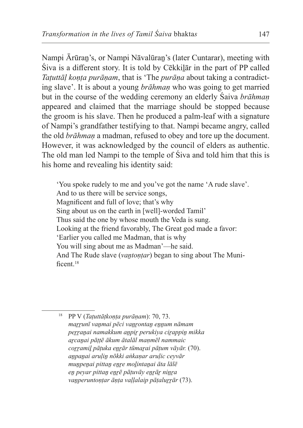Nampi Ārūraṉ's, or Nampi Nāvalūraṉ's (later Cuntarar), meeting with Śiva is a different story. It is told by Cēkkiḻār in the part of PP called *Taṭuttāḷ koṇṭa purāṇam*, that is 'The *purāṇa* about taking a contradicting slave'. It is about a young *brāhmaṇ* who was going to get married but in the course of the wedding ceremony an elderly Śaiva *brāhmaṇ* appeared and claimed that the marriage should be stopped because the groom is his slave. Then he produced a palm-leaf with a signature of Nampi's grandfather testifying to that. Nampi became angry, called the old *brāhmaṇ* a madman, refused to obey and tore up the document. However, it was acknowledged by the council of elders as authentic. The old man led Nampi to the temple of Śiva and told him that this is his home and revealing his identity said:

'You spoke rudely to me and you've got the name 'A rude slave'. And to us there will be service songs, Magnificent and full of love; that's why Sing about us on the earth in [well]-worded Tamil' Thus said the one by whose mouth the Veda is sung. Looking at the friend favorably, The Great god made a favor: 'Earlier you called me Madman, that is why You will sing about me as Madman'—he said. And The Rude slave *(vantontar)* began to sing about The Munificent<sup>18</sup>

<sup>18</sup> PP V (*Taṭuttāṭkoṇṭa purāṇam*): 70, 73. *maṟṟunī vaṉmai pēci vaṉṟontaṉ eṉṉum nāmam peṟṟaṉai namakkum aṉpiṟ perukiya ciṟappiṉ mikka aṟcaṉai pāṭṭē ākum ātalāl maṇmēl nammaic coṟṟamiḻ pāṭuka eṉṟār tūmaṟai pāṭum vāyār.* (70). *aṉpaṉai aruḷiṉ nōkki aṅkaṇar aruḷic ceyvār muṉpeṉai pittaṉ eṉṟe moḻintaṉai āta lālē eṉ peyar pittaṉ eṉṟē pāṭuvāy eṉṟāṟ niṉṟa vaṉperuntoṇṭar āṇṭa vaḷḷalaip pāṭaluṟṟār* (73).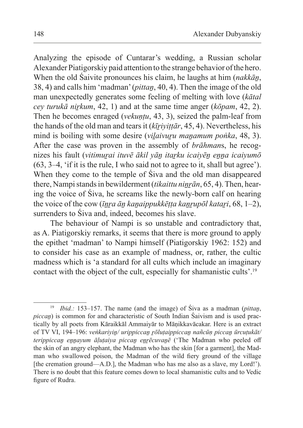Analyzing the episode of Cuntarar's wedding, a Russian scholar Alexander Piatigorskiy paid attention to the strange behavior of the hero. When the old Śaivite pronounces his claim, he laughs at him (*nakkāṉ*, 38, 4) and calls him 'madman' (*pittaṉ*, 40, 4). Then the image of the old man unexpectedly generates some feeling of melting with love (*kātal cey turukā niṟkum*, 42, 1) and at the same time anger (*kōpam*, 42, 2). Then he becomes enraged (*vekuntu*, 43, 3), seized the palm-leaf from the hands of the old man and tears it (*kīṟiyiṭṭār*, 45, 4). Nevertheless, his mind is boiling with some desire *(vilaivuru manamum poṅka*, 48, 3). After the case was proven in the assembly of *brāhman*s, he recognizes his fault (*vitimuṟai ituvē ākil yāṉ itaṟku icaiyēṉ eṉṉa icaiyumō* (63, 3–4, 'if it is the rule, I who said not to agree to it, shall but agree'). When they come to the temple of Śiva and the old man disappeared there, Nampi stands in bewilderment *(tikaittu ninrān*, 65, 4). Then, hearing the voice of Śiva, he screams like the newly-born calf on hearing the voice of the cow (*īṉṟa āṉ kaṉaippukkēṭṭa kaṉṟupōl kataṟi*, 68, 1–2), surrenders to Śiva and, indeed, becomes his slave.

The behaviour of Nampi is so unstable and contradictory that, as A. Piatigorskiy remarks, it seems that there is more ground to apply the epithet 'madman' to Nampi himself (Piatigorskiy 1962: 152) and to consider his case as an example of madness, or, rather, the cultic madness which is 'a standard for all cults which include an imaginary contact with the object of the cult, especially for shamanistic cults'.<sup>19</sup>

<sup>19</sup> *Ibid.:* 153–157. The name (and the image) of Śiva as a madman (*pittaṉ*, *piccaṉ*) is common for and characteristic of South Indian Śaivism and is used practically by all poets from Kāraikkāl Ammaiyār to Māṇikkavācakar. Here is an extract of TV VI, 194–196: *veṅkariyiṉ/ urippiccaṉ ṟōluṭaippiccaṉ nañcūṇ piccaṉ ūrcuṭukāt/ terippiccaṉ eṉṉayum āḷuṭaiya piccaṉ eṉṟēcuvaṉē* ('The Madman who peeled off the skin of an angry elephant, the Madman who has the skin [for a garment], the Madman who swallowed poison, the Madman of the wild fiery ground of the village [the cremation ground—A.D.], the Madman who has me also as a slave, my Lord!'). There is no doubt that this feature comes down to local shamanistic cults and to Vedic figure of Rudra.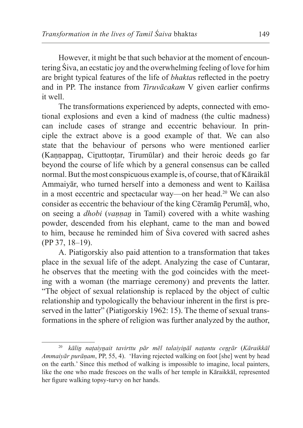However, it might be that such behavior at the moment of encountering Śiva, an ecstatic joy and the overwhelming feeling of love for him are bright typical features of the life of *bhakta*s reflected in the poetry and in PP. The instance from *Tiruvācakam* V given earlier confirms it well.

The transformations experienced by adepts, connected with emotional explosions and even a kind of madness (the cultic madness) can include cases of strange and eccentric behaviour. In principle the extract above is a good example of that. We can also state that the behaviour of persons who were mentioned earlier (Kaṇṇappaṉ, Ciṟuttoṇṭar, Tirumūlar) and their heroic deeds go far beyond the course of life which by a general consensus can be called normal. But themost conspicuous example is, of course, that of Kāraikāl Ammaiyār, who turned herself into a demoness and went to Kailāsa in a most eccentric and spectacular way—on her head.20 We can also consider as eccentric the behaviour of the king Cēramāṉ Perumāḷ, who, on seeing a *dhobi* (*vaṇṇaṉ* in Tamil) covered with a white washing powder, descended from his elephant, came to the man and bowed to him, because he reminded him of Śiva covered with sacred ashes (PP 37, 18–19).

A. Piatigorskiy also paid attention to a transformation that takes place in the sexual life of the adept. Analyzing the case of Cuntarar, he observes that the meeting with the god coincides with the meeting with a woman (the marriage ceremony) and prevents the latter. "The object of sexual relationship is replaced by the object of cultic relationship and typologically the behaviour inherent in the first is preserved in the latter" (Piatigorskiy 1962: 15). The theme of sexual transformations in the sphere of religion was further analyzed by the author,

<sup>20</sup> *kāliṉ naṭaiyṉait tavirttu pār mēl talaiyiṉāl naṭantu ceṉṟār* (*Kāraikkāl Ammaiyār purāṇam*, PP, 55, 4). 'Having rejected walking on foot [she] went by head on the earth.' Since this method of walking is impossible to imagine, local painters, like the one who made frescoes on the walls of her temple in Kāraikkāl, represented her figure walking topsy-turvy on her hands.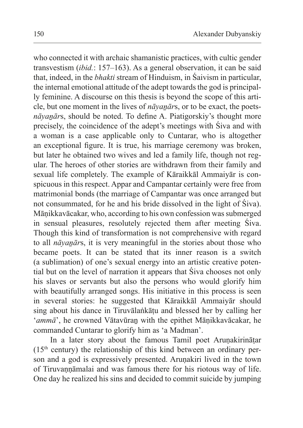who connected it with archaic shamanistic practices, with cultic gender transvestism (*ibid.*: 157–163). As a general observation, it can be said that, indeed, in the *bhakti* stream of Hinduism, in Śaivism in particular, the internal emotional attitude of the adept towards the god is principally feminine. A discourse on this thesis is beyond the scope of this article, but one moment in the lives of *nāyanārs*, or to be exact, the poets*nāyaṉār*s, should be noted. To define A. Piatigorskiy's thought more precisely, the coincidence of the adept's meetings with Śiva and with a woman is a case applicable only to Cuntarar, who is altogether an exceptional figure. It is true, his marriage ceremony was broken, but later he obtained two wives and led a family life, though not regular. The heroes of other stories are withdrawn from their family and sexual life completely. The example of Kāraikkāl Ammaiyār is conspicuous in this respect. Appar and Campantar certainly were free from matrimonial bonds (the marriage of Campantar was once arranged but not consummated, for he and his bride dissolved in the light of Śiva). Māṇikkavācakar, who, according to his own confession was submerged in sensual pleasures, resolutely rejected them after meeting Śiva. Though this kind of transformation is not comprehensive with regard to all *nāyaṉār*s, it is very meaningful in the stories about those who became poets. It can be stated that its inner reason is a switch (a sublimation) of one's sexual energy into an artistic creative potential but on the level of narration it appears that Śiva chooses not only his slaves or servants but also the persons who would glorify him with beautifully arranged songs. His initiative in this process is seen in several stories: he suggested that Kāraikkāl Ammaiyār should sing about his dance in Tiruvālaṅkāṭu and blessed her by calling her '*ammā*', he crowned Vātavūran with the epithet Mānikkavācakar, he commanded Cuntarar to glorify him as 'a Madman'.

In a later story about the famous Tamil poet Arunakirinātar  $(15<sup>th</sup>$  century) the relationship of this kind between an ordinary person and a god is expressively presented. Arunakiri lived in the town of Tiruvannāmalai and was famous there for his riotous way of life. One day he realized his sins and decided to commit suicide by jumping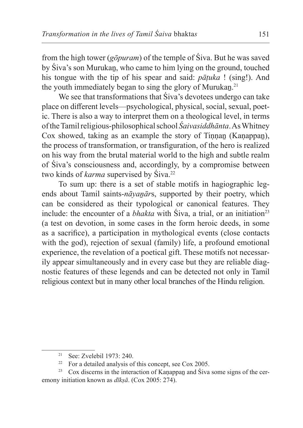from the high tower (*gōpuram*) of the temple of Śiva. But he was saved by Śiva's son Murukaṉ, who came to him lying on the ground, touched his tongue with the tip of his spear and said: *pāṭuka* ! (sing!). And the youth immediately began to sing the glory of Murukan.<sup>21</sup>

We see that transformations that Siva's devotees undergo can take place on different levels—psychological, physical, social, sexual, poetic. There is also a way to interpret them on a theological level, in terms oftheTamil religious-philosophical school *Śaivasiddhānta*. As Whitney Cox showed, taking as an example the story of Tinnan (Kanappan), the process of transformation, or transfiguration, of the hero is realized on his way from the brutal material world to the high and subtle realm of Śiva's consciousness and, accordingly, by a compromise between two kinds of *karma* supervised by Śiva.<sup>22</sup>

To sum up: there is a set of stable motifs in hagiographic legends about Tamil saints-*nāyanārs*, supported by their poetry, which can be considered as their typological or canonical features. They include: the encounter of a *bhakta* with  $\text{S}$ iva, a trial, or an initiation<sup>23</sup> (a test on devotion, in some cases in the form heroic deeds, in some as a sacrifice), a participation in mythological events (close contacts with the god), rejection of sexual (family) life, a profound emotional experience, the revelation of a poetical gift. These motifs not necessarily appear simultaneously and in every case but they are reliable diagnostic features of these legends and can be detected not only in Tamil religious context but in many other local branches of the Hindu religion.

<sup>21</sup> See: Zvelebil 1973: 240.

 $22$  For a detailed analysis of this concept, see Cox 2005.

 $23$  Cox discerns in the interaction of Kanappan and Śiva some signs of the ceremony initiation known as *dīkṣā*. (Cox 2005: 274).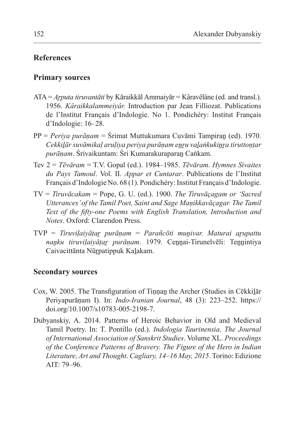# **References**

## **Primary sources**

- ATA = *Aṟputa tiruvantāti* by Kāraikkāl Ammaiyār = Kâravêlâne (ed. and transl.). 1956. *Kâraikkalammeiyâr.* Introduction par Jean Filliozat. Publications de l'Institut Français d'Indologie. No 1. Pondichéry: Institut Français d'Indologie: 16–28.
- PP = *Periya purāṇam* = Śrimat Muttukumara Cuvāmi Tampiraṉ (ed). 1970. *Cekkiḻār suvāmikaḷ aruḷiya periya purāṇam eṉṟu vaḻaṅkukiṉṟa tiruttoṇṭar purāṇam*. Śrivaikuntam: Śri Kumarakuraparaṉ Caṅkam.
- Tev 2 = *Тēvāram* = T.V. Gopal (ed.). 1984–1985. *Тēvāram. Hymnes Sivaites du Pays Tamoul*. Vol. II. *Appar et Cuntarar*. Publications de l'Institut Français d'Indologie No. 68 (1). Pondichéry: Institut Français d'Indologie.
- TV = *Tiruvācakam* = Pope, G. U. (ed.). 1900. *The Tiruvāçagam or 'Sacred Utterances' of the Tamil Poet, Saint and Sage Maṇikkavāçagar. The Tamil Text of the fifty-one Poems with English Translation, Introduction and Notes*. Oxford: Clarendon Press.
- TVP = *Tiruviḷaiyāṭaṟ purāṇam* = *Parañcōti muṉivar. Maturai aṟupattu naṉku tiruviḷaiyāṭaṟ purāṇam*. 1979. Ceṉṉai-Tirunelvēli: Teṉṉintiya Caivacittānta Nūrpatippuk Kalakam.

## **Secondary sources**

- Cox, W. 2005. The Transfiguration of Tinnan the Archer (Studies in Cēkkilār Periyapurāṇam I). In: *Indo-Iranian Journal*, 48 (3): 223–252. https:// doi.org/10.1007/s10783-005-2198-7.
- Dubyanskiy, A. 2014. Patterns of Heroic Behavior in Old and Medieval Tamil Poetry. In: T. Pontillo (ed.). *Indologia Taurinensia*. *The Journal of International Association of Sanskrit Studies*. Volume XL. *Proceedings of the Conference Patterns of Bravery. The Figure of the Hero in Indian Literature, Art and Thought*. *Cagliary, 14–16 May, 2015*. Torino: Edizione AIT: 79–96.